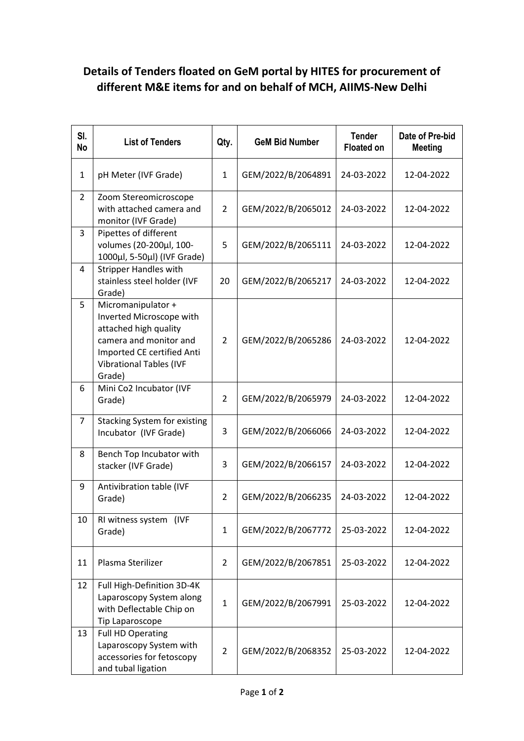## **Details of Tenders floated on GeM portal by HITES for procurement of different M&E items for and on behalf of MCH, AIIMS-New Delhi**

| SI.<br><b>No</b> | <b>List of Tenders</b>                                                                                                                                                      | Qty.           | <b>GeM Bid Number</b> | <b>Tender</b><br><b>Floated on</b> | Date of Pre-bid<br><b>Meeting</b> |
|------------------|-----------------------------------------------------------------------------------------------------------------------------------------------------------------------------|----------------|-----------------------|------------------------------------|-----------------------------------|
| $\mathbf{1}$     | pH Meter (IVF Grade)                                                                                                                                                        | $\mathbf{1}$   | GEM/2022/B/2064891    | 24-03-2022                         | 12-04-2022                        |
| $\overline{2}$   | Zoom Stereomicroscope<br>with attached camera and<br>monitor (IVF Grade)                                                                                                    | $\overline{2}$ | GEM/2022/B/2065012    | 24-03-2022                         | 12-04-2022                        |
| 3                | Pipettes of different<br>volumes (20-200µl, 100-<br>1000μl, 5-50μl) (IVF Grade)                                                                                             | 5              | GEM/2022/B/2065111    | 24-03-2022                         | 12-04-2022                        |
| 4                | <b>Stripper Handles with</b><br>stainless steel holder (IVF<br>Grade)                                                                                                       | 20             | GEM/2022/B/2065217    | 24-03-2022                         | 12-04-2022                        |
| 5                | Micromanipulator +<br>Inverted Microscope with<br>attached high quality<br>camera and monitor and<br>Imported CE certified Anti<br><b>Vibrational Tables (IVF</b><br>Grade) | $\overline{2}$ | GEM/2022/B/2065286    | 24-03-2022                         | 12-04-2022                        |
| 6                | Mini Co2 Incubator (IVF<br>Grade)                                                                                                                                           | $\overline{2}$ | GEM/2022/B/2065979    | 24-03-2022                         | 12-04-2022                        |
| $\overline{7}$   | <b>Stacking System for existing</b><br>Incubator (IVF Grade)                                                                                                                | 3              | GEM/2022/B/2066066    | 24-03-2022                         | 12-04-2022                        |
| 8                | Bench Top Incubator with<br>stacker (IVF Grade)                                                                                                                             | 3              | GEM/2022/B/2066157    | 24-03-2022                         | 12-04-2022                        |
| 9                | Antivibration table (IVF<br>Grade)                                                                                                                                          | $\overline{2}$ | GEM/2022/B/2066235    | 24-03-2022                         | 12-04-2022                        |
| 10               | RI witness system (IVF<br>Grade)                                                                                                                                            | $\mathbf{1}$   | GEM/2022/B/2067772    | 25-03-2022                         | 12-04-2022                        |
| 11               | Plasma Sterilizer                                                                                                                                                           | $\overline{2}$ | GEM/2022/B/2067851    | 25-03-2022                         | 12-04-2022                        |
| 12               | Full High-Definition 3D-4K<br>Laparoscopy System along<br>with Deflectable Chip on<br>Tip Laparoscope                                                                       | $\mathbf{1}$   | GEM/2022/B/2067991    | 25-03-2022                         | 12-04-2022                        |
| 13               | <b>Full HD Operating</b><br>Laparoscopy System with<br>accessories for fetoscopy<br>and tubal ligation                                                                      | $\overline{2}$ | GEM/2022/B/2068352    | 25-03-2022                         | 12-04-2022                        |